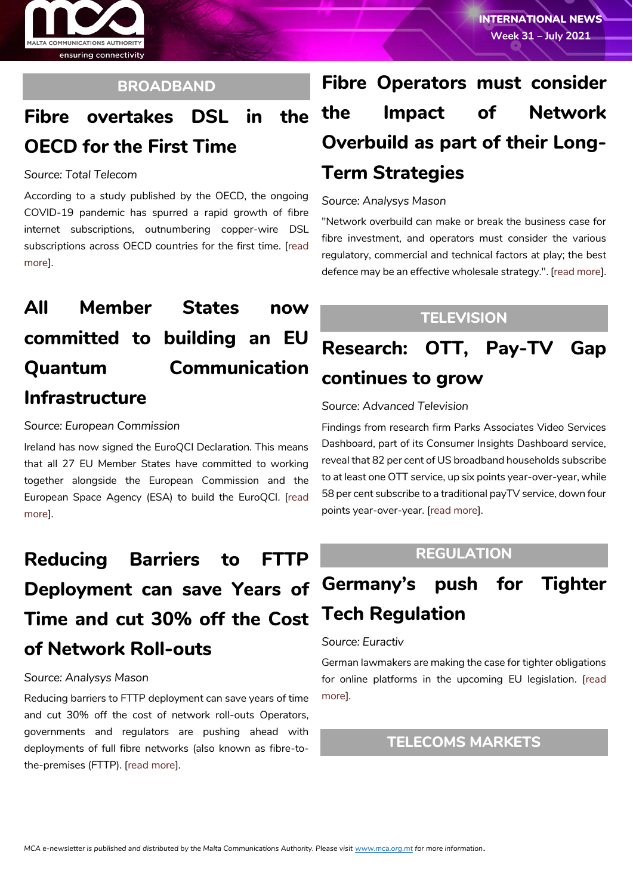

### **BROADBAND**

## **Fibre overtakes DSL in the OECD for the First Time**

#### *Source: Total Telecom*

According to a study published by the OECD, the ongoing COVID-19 pandemic has spurred a rapid growth of fibre internet subscriptions, outnumbering copper-wire DSL subscriptions across OECD countries for the first time. [\[read](https://www.totaltele.com/510476/Fibre-overtakes-DSL-in-the-OECD-for-the-first-time)  [more](https://www.totaltele.com/510476/Fibre-overtakes-DSL-in-the-OECD-for-the-first-time)].

## **All Member States now committed to building an EU Quantum Communication Infrastructure**

#### *Source: European Commission*

Ireland has now signed the EuroQCI Declaration. This means that all 27 EU Member States have committed to working together alongside the European Commission and the European Space Agency (ESA) to build the EuroQCI. [\[read](https://digital-strategy.ec.europa.eu/en/news/all-member-states-now-committed-building-eu-quantum-communication-infrastructure)  [more\]](https://digital-strategy.ec.europa.eu/en/news/all-member-states-now-committed-building-eu-quantum-communication-infrastructure).

# **Reducing Barriers to FTTP Deployment can save Years of Time and cut 30% off the Cost of Network Roll-outs**

#### *Source: Analysys Mason*

Reducing barriers to FTTP deployment can save years of time and cut 30% off the cost of network roll-outs Operators, governments and regulators are pushing ahead with deployments of full fibre networks (also known as fibre-tothe-premises (FTTP). [\[read more\]](https://www.analysysmason.com/about-us/news/newsletter/fttp-deployment-barriers-jul2021/).

# **Fibre Operators must consider the Impact of Network Overbuild as part of their Long-Term Strategies**

#### *Source: Analysys Mason*

"Network overbuild can make or break the business case for fibre investment, and operators must consider the various regulatory, commercial and technical factors at play; the best defence may be an effective wholesale strategy.". [\[read more\]](https://www.analysysmason.com/about-us/news/newsletter/fibre-network-overbuild-jul2021/).

### **TELEVISION**

**Research: OTT, Pay-TV Gap continues to grow**

#### *Source: Advanced Television*

Findings from research firm Parks Associates Video Services Dashboard, part of its Consumer Insights Dashboard service, reveal that 82 per cent of US broadband households subscribe to at least one OTT service, up six points year-over-year, while 58 per cent subscribe to a traditional payTV service, down four points year-over-year. [\[read more\]](https://advanced-television.com/2021/07/29/research-ott-pay-tv-gap-continues-to-grow/).

### **REGULATION**

## **Germany's push for Tighter Tech Regulation**

#### *Source: Euractiv*

German lawmakers are making the case for tighter obligations for online platforms in the upcoming EU legislation. [\[read](https://www.euractiv.com/section/digital/news/germanys-push-for-tighter-tech-regulation/)  [more\]](https://www.euractiv.com/section/digital/news/germanys-push-for-tighter-tech-regulation/).

### **TELECOMS MARKETS**